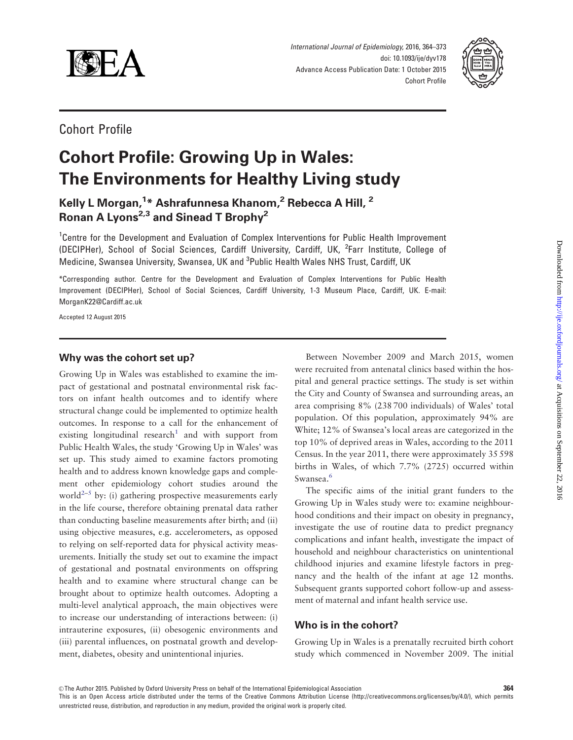

International Journal of Epidemiology, 2016, 364–373 doi: 10.1093/ije/dyv178 Advance Access Publication Date: 1 October 2015 Cohort Profile



## Cohort Profile

# Cohort Profile: Growing Up in Wales: The Environments for Healthy Living study

Kelly L Morgan,<sup>1</sup>\* Ashrafunnesa Khanom,<sup>2</sup> Rebecca A Hill, <sup>2</sup> Ronan A Lyons<sup>2,3</sup> and Sinead T Brophy<sup>2</sup>

<sup>1</sup>Centre for the Development and Evaluation of Complex Interventions for Public Health Improvement (DECIPHer), School of Social Sciences, Cardiff University, Cardiff, UK, <sup>2</sup>Farr Institute, College of Medicine, Swansea University, Swansea, UK and <sup>3</sup>Public Health Wales NHS Trust, Cardiff, UK

\*Corresponding author. Centre for the Development and Evaluation of Complex Interventions for Public Health Improvement (DECIPHer), School of Social Sciences, Cardiff University, 1-3 Museum Place, Cardiff, UK. E-mail: MorganK22@Cardiff.ac.uk

Accepted 12 August 2015

## Why was the cohort set up?

Growing Up in Wales was established to examine the impact of gestational and postnatal environmental risk factors on infant health outcomes and to identify where structural change could be implemented to optimize health outcomes. In response to a call for the enhancement of existing longitudinal research<sup>[1](#page-8-0)</sup> and with support from Public Health Wales, the study 'Growing Up in Wales' was set up. This study aimed to examine factors promoting health and to address known knowledge gaps and complement other epidemiology cohort studies around the world<sup>[2–5](#page-8-0)</sup> by: (i) gathering prospective measurements early in the life course, therefore obtaining prenatal data rather than conducting baseline measurements after birth; and (ii) using objective measures, e.g. accelerometers, as opposed to relying on self-reported data for physical activity measurements. Initially the study set out to examine the impact of gestational and postnatal environments on offspring health and to examine where structural change can be brought about to optimize health outcomes. Adopting a multi-level analytical approach, the main objectives were to increase our understanding of interactions between: (i) intrauterine exposures, (ii) obesogenic environments and (iii) parental influences, on postnatal growth and development, diabetes, obesity and unintentional injuries.

Between November 2009 and March 2015, women were recruited from antenatal clinics based within the hospital and general practice settings. The study is set within the City and County of Swansea and surrounding areas, an area comprising 8% (238 700 individuals) of Wales' total population. Of this population, approximately 94% are White; 12% of Swansea's local areas are categorized in the top 10% of deprived areas in Wales, according to the 2011 Census. In the year 2011, there were approximately 35 598 births in Wales, of which 7.7% (2725) occurred within Swansea.<sup>[6](#page-8-0)</sup>

The specific aims of the initial grant funders to the Growing Up in Wales study were to: examine neighbourhood conditions and their impact on obesity in pregnancy, investigate the use of routine data to predict pregnancy complications and infant health, investigate the impact of household and neighbour characteristics on unintentional childhood injuries and examine lifestyle factors in pregnancy and the health of the infant at age 12 months. Subsequent grants supported cohort follow-up and assessment of maternal and infant health service use.

## Who is in the cohort?

Growing Up in Wales is a prenatally recruited birth cohort study which commenced in November 2009. The initial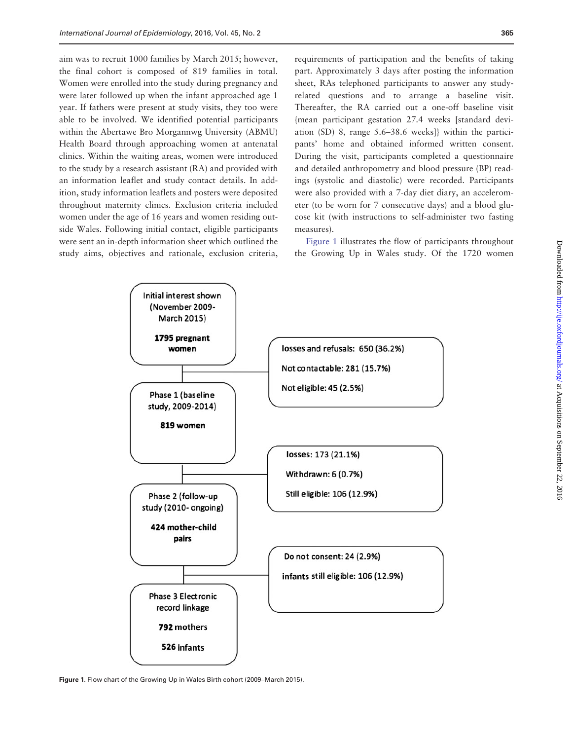<span id="page-1-0"></span>aim was to recruit 1000 families by March 2015; however, the final cohort is composed of 819 families in total. Women were enrolled into the study during pregnancy and were later followed up when the infant approached age 1 year. If fathers were present at study visits, they too were able to be involved. We identified potential participants within the Abertawe Bro Morgannwg University (ABMU) Health Board through approaching women at antenatal clinics. Within the waiting areas, women were introduced to the study by a research assistant (RA) and provided with an information leaflet and study contact details. In addition, study information leaflets and posters were deposited throughout maternity clinics. Exclusion criteria included women under the age of 16 years and women residing outside Wales. Following initial contact, eligible participants were sent an in-depth information sheet which outlined the study aims, objectives and rationale, exclusion criteria,

requirements of participation and the benefits of taking part. Approximately 3 days after posting the information sheet, RAs telephoned participants to answer any studyrelated questions and to arrange a baseline visit. Thereafter, the RA carried out a one-off baseline visit {mean participant gestation 27.4 weeks [standard deviation (SD) 8, range 5.6–38.6 weeks]} within the participants' home and obtained informed written consent. During the visit, participants completed a questionnaire and detailed anthropometry and blood pressure (BP) readings (systolic and diastolic) were recorded. Participants were also provided with a 7-day diet diary, an accelerometer (to be worn for 7 consecutive days) and a blood glucose kit (with instructions to self-administer two fasting measures).

Figure 1 illustrates the flow of participants throughout the Growing Up in Wales study. Of the 1720 women



Figure 1. Flow chart of the Growing Up in Wales Birth cohort (2009–March 2015).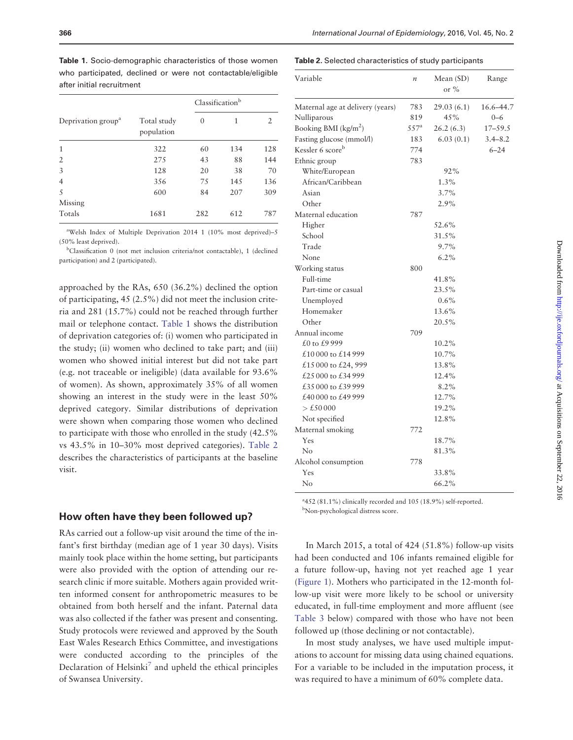Table 1. Socio-demographic characteristics of those women who participated, declined or were not contactable/eligible after initial recruitment

|                                |                           | Classification <sup>b</sup> |     |     |
|--------------------------------|---------------------------|-----------------------------|-----|-----|
| Deprivation group <sup>a</sup> | Total study<br>population | $\theta$                    | 1   | 2   |
| 1                              | 322                       | 60                          | 134 | 128 |
| $\overline{2}$                 | 275                       | 43                          | 88  | 144 |
| 3                              | 128                       | 20                          | 38  | 70  |
| 4                              | 356                       | 75                          | 145 | 136 |
| 5                              | 600                       | 84                          | 207 | 309 |
| Missing                        |                           |                             |     |     |
| Totals                         | 1681                      | 282                         | 612 | 787 |

a Welsh Index of Multiple Deprivation 2014 1 (10% most deprived)–5 (50% least deprived).

b Classification 0 (not met inclusion criteria/not contactable), 1 (declined participation) and 2 (participated).

approached by the RAs, 650 (36.2%) declined the option of participating, 45 (2.5%) did not meet the inclusion criteria and 281 (15.7%) could not be reached through further mail or telephone contact. Table 1 shows the distribution of deprivation categories of: (i) women who participated in the study; (ii) women who declined to take part; and (iii) women who showed initial interest but did not take part (e.g. not traceable or ineligible) (data available for 93.6% of women). As shown, approximately 35% of all women showing an interest in the study were in the least 50% deprived category. Similar distributions of deprivation were shown when comparing those women who declined to participate with those who enrolled in the study (42.5% vs 43.5% in 10–30% most deprived categories). Table 2 describes the characteristics of participants at the baseline visit.

#### How often have they been followed up?

RAs carried out a follow-up visit around the time of the infant's first birthday (median age of 1 year 30 days). Visits mainly took place within the home setting, but participants were also provided with the option of attending our research clinic if more suitable. Mothers again provided written informed consent for anthropometric measures to be obtained from both herself and the infant. Paternal data was also collected if the father was present and consenting. Study protocols were reviewed and approved by the South East Wales Research Ethics Committee, and investigations were conducted according to the principles of the Declaration of Helsinki<sup>7</sup> and upheld the ethical principles of Swansea University.

| <b>Table 2.</b> Selected characteristics of study participants |  |  |  |
|----------------------------------------------------------------|--|--|--|
|----------------------------------------------------------------|--|--|--|

| Variable                         | $\boldsymbol{n}$   | Mean $(SD)$<br>or $\%$ | Range       |
|----------------------------------|--------------------|------------------------|-------------|
| Maternal age at delivery (years) | 783                | 29.03(6.1)             | 16.6-44.7   |
| Nulliparous                      | 819                | 45%                    | $0 - 6$     |
| Booking BMI $(kg/m^2)$           | $557^{\mathrm{a}}$ | 26.2(6.3)              | $17 - 59.5$ |
| Fasting glucose (mmol/l)         | 183                | 6.03(0.1)              | $3.4 - 8.2$ |
| Kessler 6 scoreb                 | 774                |                        | $6 - 24$    |
| Ethnic group                     | 783                |                        |             |
| White/European                   |                    | 92%                    |             |
| African/Caribbean                |                    | 1.3%                   |             |
| Asian                            |                    | 3.7%                   |             |
| Other                            |                    | 2.9%                   |             |
| Maternal education               | 787                |                        |             |
| Higher                           |                    | 52.6%                  |             |
| School                           |                    | 31.5%                  |             |
| Trade                            |                    | 9.7%                   |             |
| None                             |                    | 6.2%                   |             |
| Working status                   | 800                |                        |             |
| Full-time                        |                    | 41.8%                  |             |
| Part-time or casual              |                    | 23.5%                  |             |
| Unemployed                       |                    | 0.6%                   |             |
| Homemaker                        |                    | 13.6%                  |             |
| Other                            |                    | 20.5%                  |             |
| Annual income                    | 709                |                        |             |
| $f(0)$ to $f(9)$ 999             |                    | 10.2%                  |             |
| £10000 to £14999                 |                    | 10.7%                  |             |
| £15 000 to £24, 999              |                    | 13.8%                  |             |
| £25 000 to £34 999               |                    | 12.4%                  |             |
| £35 000 to £39 999               |                    | 8.2%                   |             |
| £40 000 to £49 999               |                    | 12.7%                  |             |
| > £50000                         |                    | 19.2%                  |             |
| Not specified                    |                    | 12.8%                  |             |
| Maternal smoking                 | 772                |                        |             |
| Yes                              |                    | 18.7%                  |             |
| No                               |                    | 81.3%                  |             |
| Alcohol consumption              | 778                |                        |             |
| Yes                              |                    | 33.8%                  |             |
| $\rm No$                         |                    | 66.2%                  |             |
|                                  |                    |                        |             |

a 452 (81.1%) clinically recorded and 105 (18.9%) self-reported. b Non-psychological distress score.

In March 2015, a total of 424 (51.8%) follow-up visits had been conducted and 106 infants remained eligible for a future follow-up, having not yet reached age 1 year [\(Figure 1](#page-1-0)). Mothers who participated in the 12-month follow-up visit were more likely to be school or university educated, in full-time employment and more affluent (see [Table 3](#page-3-0) below) compared with those who have not been followed up (those declining or not contactable).

In most study analyses, we have used multiple imputations to account for missing data using chained equations. For a variable to be included in the imputation process, it was required to have a minimum of 60% complete data.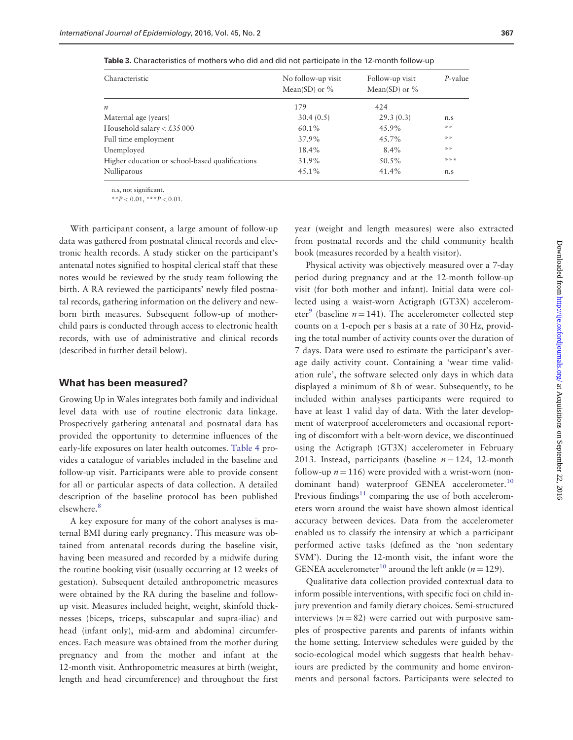<span id="page-3-0"></span>Table 3. Characteristics of mothers who did and did not participate in the 12-month follow-up

| Characteristic                                  | No follow-up visit<br>Mean(SD) or $\%$ | Follow-up visit<br>Mean(SD) or $%$ | $P$ -value |
|-------------------------------------------------|----------------------------------------|------------------------------------|------------|
| $\boldsymbol{n}$                                | 179                                    | 424                                |            |
| Maternal age (years)                            | 30.4(0.5)                              | 29.3(0.3)                          | n.s        |
| Household salary $<$ £35 000                    | 60.1%                                  | 45.9%                              | **         |
| Full time employment                            | 37.9%                                  | 45.7%                              | **         |
| Unemployed                                      | 18.4%                                  | $8.4\%$                            | **         |
| Higher education or school-based qualifications | 31.9%                                  | 50.5%                              | ***        |
| Nulliparous                                     | 45.1%                                  | 41.4%                              | n.s        |

n.s, not significant.

\*\* $P < 0.01$ , \*\*\* $P < 0.01$ .

With participant consent, a large amount of follow-up data was gathered from postnatal clinical records and electronic health records. A study sticker on the participant's antenatal notes signified to hospital clerical staff that these notes would be reviewed by the study team following the birth. A RA reviewed the participants' newly filed postnatal records, gathering information on the delivery and newborn birth measures. Subsequent follow-up of motherchild pairs is conducted through access to electronic health records, with use of administrative and clinical records (described in further detail below).

#### What has been measured?

Growing Up in Wales integrates both family and individual level data with use of routine electronic data linkage. Prospectively gathering antenatal and postnatal data has provided the opportunity to determine influences of the early-life exposures on later health outcomes. [Table 4](#page-4-0) provides a catalogue of variables included in the baseline and follow-up visit. Participants were able to provide consent for all or particular aspects of data collection. A detailed description of the baseline protocol has been published elsewhere.<sup>8</sup>

A key exposure for many of the cohort analyses is maternal BMI during early pregnancy. This measure was obtained from antenatal records during the baseline visit, having been measured and recorded by a midwife during the routine booking visit (usually occurring at 12 weeks of gestation). Subsequent detailed anthropometric measures were obtained by the RA during the baseline and followup visit. Measures included height, weight, skinfold thicknesses (biceps, triceps, subscapular and supra-iliac) and head (infant only), mid-arm and abdominal circumferences. Each measure was obtained from the mother during pregnancy and from the mother and infant at the 12-month visit. Anthropometric measures at birth (weight, length and head circumference) and throughout the first year (weight and length measures) were also extracted from postnatal records and the child community health book (measures recorded by a health visitor).

Physical activity was objectively measured over a 7-day period during pregnancy and at the 12-month follow-up visit (for both mother and infant). Initial data were collected using a waist-worn Actigraph (GT3X) accelerometer<sup>9</sup> (baseline  $n = 141$ ). The accelerometer collected step counts on a 1-epoch per s basis at a rate of 30 Hz, providing the total number of activity counts over the duration of 7 days. Data were used to estimate the participant's average daily activity count. Containing a 'wear time validation rule', the software selected only days in which data displayed a minimum of 8 h of wear. Subsequently, to be included within analyses participants were required to have at least 1 valid day of data. With the later development of waterproof accelerometers and occasional reporting of discomfort with a belt-worn device, we discontinued using the Actigraph (GT3X) accelerometer in February 2013. Instead, participants (baseline  $n = 124$ , 12-month follow-up  $n = 116$ ) were provided with a wrist-worn (non-dominant hand) waterproof GENEA accelerometer.<sup>[10](#page-8-0)</sup> Previous findings $11$  comparing the use of both accelerometers worn around the waist have shown almost identical accuracy between devices. Data from the accelerometer enabled us to classify the intensity at which a participant performed active tasks (defined as the 'non sedentary SVM'). During the 12-month visit, the infant wore the GENEA accelerometer<sup>[10](#page-8-0)</sup> around the left ankle ( $n = 129$ ).

Qualitative data collection provided contextual data to inform possible interventions, with specific foci on child injury prevention and family dietary choices. Semi-structured interviews ( $n = 82$ ) were carried out with purposive samples of prospective parents and parents of infants within the home setting. Interview schedules were guided by the socio-ecological model which suggests that health behaviours are predicted by the community and home environments and personal factors. Participants were selected to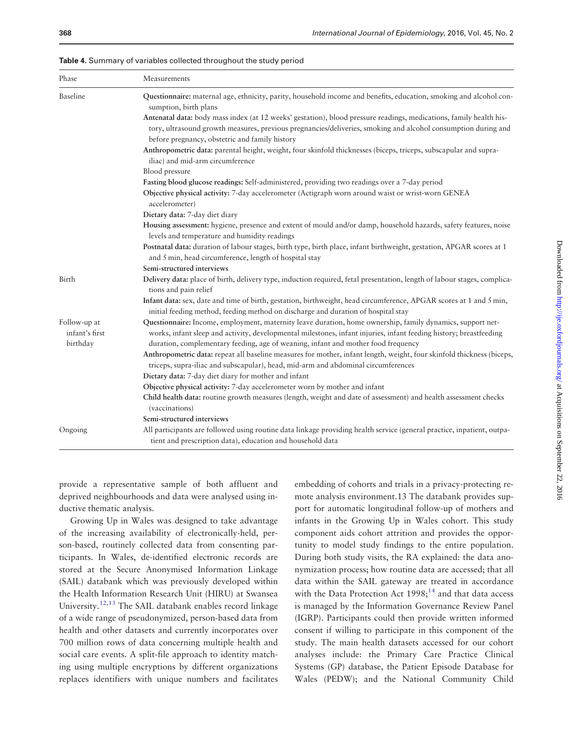<span id="page-4-0"></span>

|  | Table 4. Summary of variables collected throughout the study period |  |  |
|--|---------------------------------------------------------------------|--|--|
|--|---------------------------------------------------------------------|--|--|

| Phase                          | Measurements                                                                                                                                                                                                                     |  |  |  |  |
|--------------------------------|----------------------------------------------------------------------------------------------------------------------------------------------------------------------------------------------------------------------------------|--|--|--|--|
| Baseline                       | Questionnaire: maternal age, ethnicity, parity, household income and benefits, education, smoking and alcohol con-<br>sumption, birth plans                                                                                      |  |  |  |  |
|                                | Antenatal data: body mass index (at 12 weeks' gestation), blood pressure readings, medications, family health his-                                                                                                               |  |  |  |  |
|                                | tory, ultrasound growth measures, previous pregnancies/deliveries, smoking and alcohol consumption during and<br>before pregnancy, obstetric and family history                                                                  |  |  |  |  |
|                                | Anthropometric data: parental height, weight, four skinfold thicknesses (biceps, triceps, subscapular and supra-                                                                                                                 |  |  |  |  |
|                                | iliac) and mid-arm circumference                                                                                                                                                                                                 |  |  |  |  |
|                                | Blood pressure                                                                                                                                                                                                                   |  |  |  |  |
|                                | Fasting blood glucose readings: Self-administered, providing two readings over a 7-day period                                                                                                                                    |  |  |  |  |
|                                | Objective physical activity: 7-day accelerometer (Actigraph worn around waist or wrist-worn GENEA<br>accelerometer)                                                                                                              |  |  |  |  |
|                                | Dietary data: 7-day diet diary                                                                                                                                                                                                   |  |  |  |  |
|                                | Housing assessment: hygiene, presence and extent of mould and/or damp, household hazards, safety features, noise<br>levels and temperature and humidity readings                                                                 |  |  |  |  |
|                                | Postnatal data: duration of labour stages, birth type, birth place, infant birthweight, gestation, APGAR scores at 1<br>and 5 min, head circumference, length of hospital stay                                                   |  |  |  |  |
|                                | Semi-structured interviews                                                                                                                                                                                                       |  |  |  |  |
| Birth                          | Delivery data: place of birth, delivery type, induction required, fetal presentation, length of labour stages, complica-<br>tions and pain relief                                                                                |  |  |  |  |
|                                | Infant data: sex, date and time of birth, gestation, birthweight, head circumference, APGAR scores at 1 and 5 min,<br>initial feeding method, feeding method on discharge and duration of hospital stay                          |  |  |  |  |
| Follow-up at<br>infant's first | Questionnaire: Income, employment, maternity leave duration, home ownership, family dynamics, support net-<br>works, infant sleep and activity, developmental milestones, infant injuries, infant feeding history; breastfeeding |  |  |  |  |
| birthday                       | duration, complementary feeding, age of weaning, infant and mother food frequency                                                                                                                                                |  |  |  |  |
|                                | Anthropometric data: repeat all baseline measures for mother, infant length, weight, four skinfold thickness (biceps,<br>triceps, supra-iliac and subscapular), head, mid-arm and abdominal circumferences                       |  |  |  |  |
|                                | Dietary data: 7-day diet diary for mother and infant                                                                                                                                                                             |  |  |  |  |
|                                | Objective physical activity: 7-day accelerometer worn by mother and infant                                                                                                                                                       |  |  |  |  |
|                                | Child health data: routine growth measures (length, weight and date of assessment) and health assessment checks<br>(vaccinations)                                                                                                |  |  |  |  |
|                                | Semi-structured interviews                                                                                                                                                                                                       |  |  |  |  |
| Ongoing                        | All participants are followed using routine data linkage providing health service (general practice, inpatient, outpa-<br>tient and prescription data), education and household data                                             |  |  |  |  |

provide a representative sample of both affluent and deprived neighbourhoods and data were analysed using inductive thematic analysis.

Growing Up in Wales was designed to take advantage of the increasing availability of electronically-held, person-based, routinely collected data from consenting participants. In Wales, de-identified electronic records are stored at the Secure Anonymised Information Linkage (SAIL) databank which was previously developed within the Health Information Research Unit (HIRU) at Swansea University[.12,13](#page-8-0) The SAIL databank enables record linkage of a wide range of pseudonymized, person-based data from health and other datasets and currently incorporates over 700 million rows of data concerning multiple health and social care events. A split-file approach to identity matching using multiple encryptions by different organizations replaces identifiers with unique numbers and facilitates

embedding of cohorts and trials in a privacy-protecting remote analysis environment.13 The databank provides support for automatic longitudinal follow-up of mothers and infants in the Growing Up in Wales cohort. This study component aids cohort attrition and provides the opportunity to model study findings to the entire population. During both study visits, the RA explained: the data anonymization process; how routine data are accessed; that all data within the SAIL gateway are treated in accordance with the Data Protection Act  $1998$ ;<sup>[14](#page-8-0)</sup> and that data access is managed by the Information Governance Review Panel (IGRP). Participants could then provide written informed consent if willing to participate in this component of the study. The main health datasets accessed for our cohort analyses include: the Primary Care Practice Clinical Systems (GP) database, the Patient Episode Database for Wales (PEDW); and the National Community Child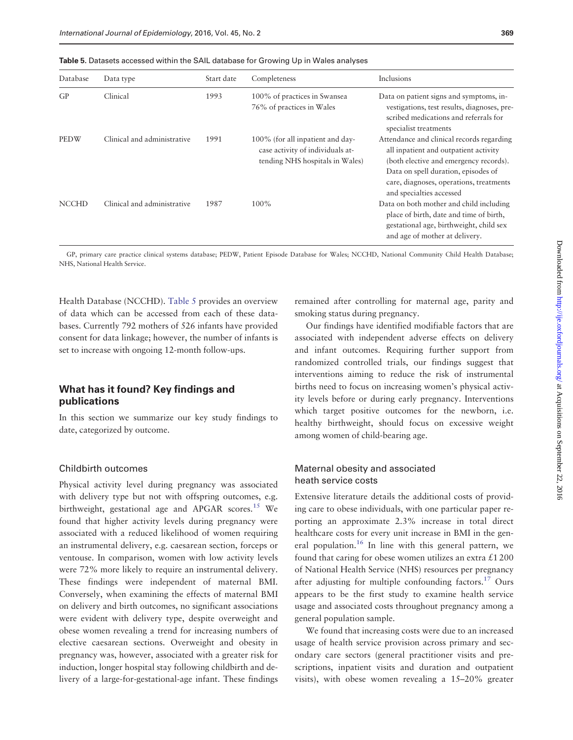Table 5. Datasets accessed within the SAIL database for Growing Up in Wales analyses

| Database     | Data type                   | Start date | Completeness                                                                                            | Inclusions                                                                                                                                                                                                                                 |
|--------------|-----------------------------|------------|---------------------------------------------------------------------------------------------------------|--------------------------------------------------------------------------------------------------------------------------------------------------------------------------------------------------------------------------------------------|
| GP           | Clinical                    | 1993       | 100% of practices in Swansea<br>76% of practices in Wales                                               | Data on patient signs and symptoms, in-<br>vestigations, test results, diagnoses, pre-<br>scribed medications and referrals for<br>specialist treatments                                                                                   |
| <b>PEDW</b>  | Clinical and administrative | 1991       | 100% (for all inpatient and day-<br>case activity of individuals at-<br>tending NHS hospitals in Wales) | Attendance and clinical records regarding<br>all inpatient and outpatient activity<br>(both elective and emergency records).<br>Data on spell duration, episodes of<br>care, diagnoses, operations, treatments<br>and specialties accessed |
| <b>NCCHD</b> | Clinical and administrative | 1987       | $100\%$                                                                                                 | Data on both mother and child including<br>place of birth, date and time of birth,<br>gestational age, birthweight, child sex<br>and age of mother at delivery.                                                                            |

GP, primary care practice clinical systems database; PEDW, Patient Episode Database for Wales; NCCHD, National Community Child Health Database; NHS, National Health Service.

Health Database (NCCHD). Table 5 provides an overview of data which can be accessed from each of these databases. Currently 792 mothers of 526 infants have provided consent for data linkage; however, the number of infants is set to increase with ongoing 12-month follow-ups.

## What has it found? Key findings and publications

In this section we summarize our key study findings to date, categorized by outcome.

## Childbirth outcomes

Physical activity level during pregnancy was associated with delivery type but not with offspring outcomes, e.g. birthweight, gestational age and APGAR scores.<sup>15</sup> We found that higher activity levels during pregnancy were associated with a reduced likelihood of women requiring an instrumental delivery, e.g. caesarean section, forceps or ventouse. In comparison, women with low activity levels were 72% more likely to require an instrumental delivery. These findings were independent of maternal BMI. Conversely, when examining the effects of maternal BMI on delivery and birth outcomes, no significant associations were evident with delivery type, despite overweight and obese women revealing a trend for increasing numbers of elective caesarean sections. Overweight and obesity in pregnancy was, however, associated with a greater risk for induction, longer hospital stay following childbirth and delivery of a large-for-gestational-age infant. These findings remained after controlling for maternal age, parity and smoking status during pregnancy.

Our findings have identified modifiable factors that are associated with independent adverse effects on delivery and infant outcomes. Requiring further support from randomized controlled trials, our findings suggest that interventions aiming to reduce the risk of instrumental births need to focus on increasing women's physical activity levels before or during early pregnancy. Interventions which target positive outcomes for the newborn, i.e. healthy birthweight, should focus on excessive weight among women of child-bearing age.

## Maternal obesity and associated heath service costs

Extensive literature details the additional costs of providing care to obese individuals, with one particular paper reporting an approximate 2.3% increase in total direct healthcare costs for every unit increase in BMI in the general population.<sup>16</sup> In line with this general pattern, we found that caring for obese women utilizes an extra  $\pounds$ 1200 of National Health Service (NHS) resources per pregnancy after adjusting for multiple confounding factors[.17](#page-8-0) Ours appears to be the first study to examine health service usage and associated costs throughout pregnancy among a general population sample.

We found that increasing costs were due to an increased usage of health service provision across primary and secondary care sectors (general practitioner visits and prescriptions, inpatient visits and duration and outpatient visits), with obese women revealing a 15–20% greater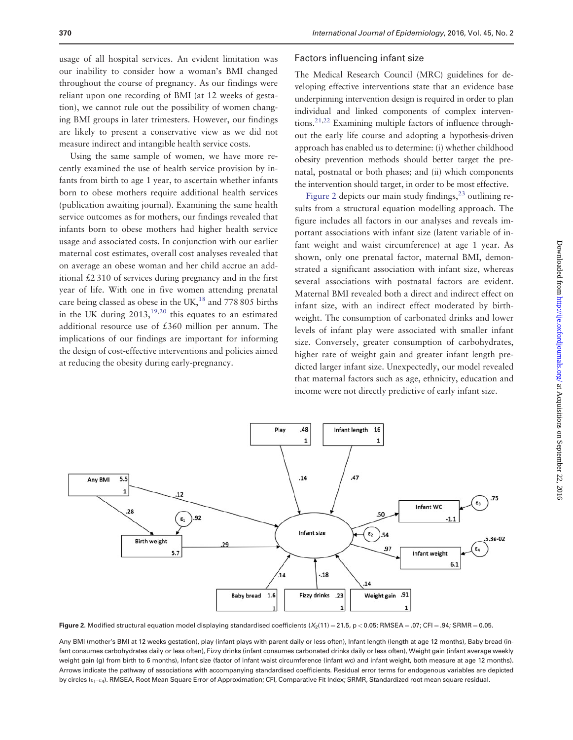usage of all hospital services. An evident limitation was our inability to consider how a woman's BMI changed throughout the course of pregnancy. As our findings were reliant upon one recording of BMI (at 12 weeks of gestation), we cannot rule out the possibility of women changing BMI groups in later trimesters. However, our findings are likely to present a conservative view as we did not measure indirect and intangible health service costs.

Using the same sample of women, we have more recently examined the use of health service provision by infants from birth to age 1 year, to ascertain whether infants born to obese mothers require additional health services (publication awaiting journal). Examining the same health service outcomes as for mothers, our findings revealed that infants born to obese mothers had higher health service usage and associated costs. In conjunction with our earlier maternal cost estimates, overall cost analyses revealed that on average an obese woman and her child accrue an additional £2 310 of services during pregnancy and in the first year of life. With one in five women attending prenatal care being classed as obese in the UK,<sup>18</sup> and 778 805 births in the UK during  $2013$ ,  $19,20$  this equates to an estimated additional resource use of £360 million per annum. The implications of our findings are important for informing the design of cost-effective interventions and policies aimed at reducing the obesity during early-pregnancy.

#### Factors influencing infant size

The Medical Research Council (MRC) guidelines for developing effective interventions state that an evidence base underpinning intervention design is required in order to plan individual and linked components of complex interventions.<sup>21,22</sup> Examining multiple factors of influence throughout the early life course and adopting a hypothesis-driven approach has enabled us to determine: (i) whether childhood obesity prevention methods should better target the prenatal, postnatal or both phases; and (ii) which components the intervention should target, in order to be most effective.

Figure 2 depicts our main study findings,  $2<sup>3</sup>$  outlining results from a structural equation modelling approach. The figure includes all factors in our analyses and reveals important associations with infant size (latent variable of infant weight and waist circumference) at age 1 year. As shown, only one prenatal factor, maternal BMI, demonstrated a significant association with infant size, whereas several associations with postnatal factors are evident. Maternal BMI revealed both a direct and indirect effect on infant size, with an indirect effect moderated by birthweight. The consumption of carbonated drinks and lower levels of infant play were associated with smaller infant size. Conversely, greater consumption of carbohydrates, higher rate of weight gain and greater infant length predicted larger infant size. Unexpectedly, our model revealed that maternal factors such as age, ethnicity, education and income were not directly predictive of early infant size.



Figure 2. Modified structural equation model displaying standardised coefficients  $(X_2(11) = 21.5$ ,  $p < 0.05$ ; RMSEA = .07; CFI = .94; SRMR = 0.05.

Any BMI (mother's BMI at 12 weeks gestation), play (infant plays with parent daily or less often), Infant length (length at age 12 months), Baby bread (infant consumes carbohydrates daily or less often), Fizzy drinks (infant consumes carbonated drinks daily or less often), Weight gain (infant average weekly weight gain (g) from birth to 6 months), Infant size (factor of infant waist circumference (infant wc) and infant weight, both measure at age 12 months). Arrows indicate the pathway of associations with accompanying standardised coefficients. Residual error terms for endogenous variables are depicted by circles  $(\varepsilon_1-\varepsilon_4)$ . RMSEA, Root Mean Square Error of Approximation; CFI, Comparative Fit Index; SRMR, Standardized root mean square residual.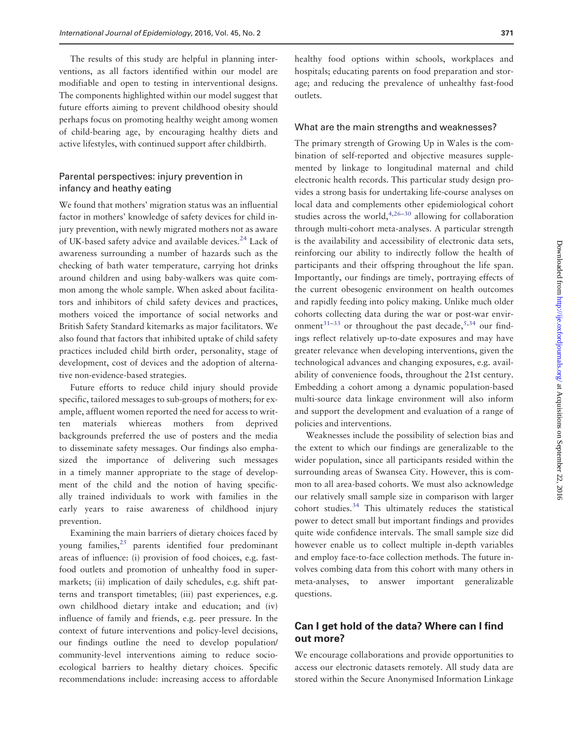The results of this study are helpful in planning interventions, as all factors identified within our model are modifiable and open to testing in interventional designs. The components highlighted within our model suggest that future efforts aiming to prevent childhood obesity should perhaps focus on promoting healthy weight among women of child-bearing age, by encouraging healthy diets and active lifestyles, with continued support after childbirth.

## Parental perspectives: injury prevention in infancy and heathy eating

We found that mothers' migration status was an influential factor in mothers' knowledge of safety devices for child injury prevention, with newly migrated mothers not as aware of UK-based safety advice and available devices.<sup>[24](#page-9-0)</sup> Lack of awareness surrounding a number of hazards such as the checking of bath water temperature, carrying hot drinks around children and using baby-walkers was quite common among the whole sample. When asked about facilitators and inhibitors of child safety devices and practices, mothers voiced the importance of social networks and British Safety Standard kitemarks as major facilitators. We also found that factors that inhibited uptake of child safety practices included child birth order, personality, stage of development, cost of devices and the adoption of alternative non-evidence-based strategies.

Future efforts to reduce child injury should provide specific, tailored messages to sub-groups of mothers; for example, affluent women reported the need for access to written materials whiereas mothers from deprived backgrounds preferred the use of posters and the media to disseminate safety messages. Our findings also emphasized the importance of delivering such messages in a timely manner appropriate to the stage of development of the child and the notion of having specifically trained individuals to work with families in the early years to raise awareness of childhood injury prevention.

Examining the main barriers of dietary choices faced by young families, $25$  parents identified four predominant areas of influence: (i) provision of food choices, e.g. fastfood outlets and promotion of unhealthy food in supermarkets; (ii) implication of daily schedules, e.g. shift patterns and transport timetables; (iii) past experiences, e.g. own childhood dietary intake and education; and (iv) influence of family and friends, e.g. peer pressure. In the context of future interventions and policy-level decisions, our findings outline the need to develop population/ community-level interventions aiming to reduce socioecological barriers to healthy dietary choices. Specific recommendations include: increasing access to affordable

healthy food options within schools, workplaces and hospitals; educating parents on food preparation and storage; and reducing the prevalence of unhealthy fast-food outlets.

#### What are the main strengths and weaknesses?

The primary strength of Growing Up in Wales is the combination of self-reported and objective measures supplemented by linkage to longitudinal maternal and child electronic health records. This particular study design provides a strong basis for undertaking life-course analyses on local data and complements other epidemiological cohort studies across the world, $4,26-30$  allowing for collaboration through multi-cohort meta-analyses. A particular strength is the availability and accessibility of electronic data sets, reinforcing our ability to indirectly follow the health of participants and their offspring throughout the life span. Importantly, our findings are timely, portraying effects of the current obesogenic environment on health outcomes and rapidly feeding into policy making. Unlike much older cohorts collecting data during the war or post-war envir-onment<sup>31–33</sup> or throughout the past decade,<sup>5[,34](#page-9-0)</sup> our findings reflect relatively up-to-date exposures and may have greater relevance when developing interventions, given the technological advances and changing exposures, e.g. availability of convenience foods, throughout the 21st century. Embedding a cohort among a dynamic population-based multi-source data linkage environment will also inform and support the development and evaluation of a range of policies and interventions.

Weaknesses include the possibility of selection bias and the extent to which our findings are generalizable to the wider population, since all participants resided within the surrounding areas of Swansea City. However, this is common to all area-based cohorts. We must also acknowledge our relatively small sample size in comparison with larger cohort studies[.34](#page-9-0) This ultimately reduces the statistical power to detect small but important findings and provides quite wide confidence intervals. The small sample size did however enable us to collect multiple in-depth variables and employ face-to-face collection methods. The future involves combing data from this cohort with many others in meta-analyses, to answer important generalizable questions.

## Can I get hold of the data? Where can I find out more?

We encourage collaborations and provide opportunities to access our electronic datasets remotely. All study data are stored within the Secure Anonymised Information Linkage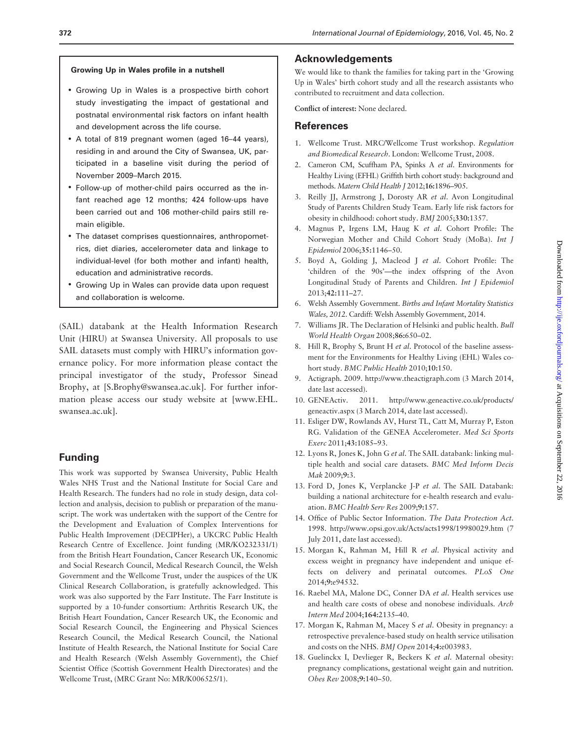#### <span id="page-8-0"></span>Growing Up in Wales profile in a nutshell

- Growing Up in Wales is a prospective birth cohort study investigating the impact of gestational and postnatal environmental risk factors on infant health and development across the life course.
- A total of 819 pregnant women (aged 16–44 years), residing in and around the City of Swansea, UK, participated in a baseline visit during the period of November 2009–March 2015.
- Follow-up of mother-child pairs occurred as the infant reached age 12 months; 424 follow-ups have been carried out and 106 mother-child pairs still remain eligible.
- The dataset comprises questionnaires, anthropometrics, diet diaries, accelerometer data and linkage to individual-level (for both mother and infant) health, education and administrative records.
- Growing Up in Wales can provide data upon request and collaboration is welcome.

(SAIL) databank at the Health Information Research Unit (HIRU) at Swansea University. All proposals to use SAIL datasets must comply with HIRU's information governance policy. For more information please contact the principal investigator of the study, Professor Sinead Brophy, at [S.Brophy@swansea.ac.uk]. For further information please access our study website at [\[www.EHL.](www.EHL.swansea.ac.uk) [swansea.ac.uk](www.EHL.swansea.ac.uk)].

## Funding

This work was supported by Swansea University, Public Health Wales NHS Trust and the National Institute for Social Care and Health Research. The funders had no role in study design, data collection and analysis, decision to publish or preparation of the manuscript. The work was undertaken with the support of the Centre for the Development and Evaluation of Complex Interventions for Public Health Improvement (DECIPHer), a UKCRC Public Health Research Centre of Excellence. Joint funding (MR/KO232331/1) from the British Heart Foundation, Cancer Research UK, Economic and Social Research Council, Medical Research Council, the Welsh Government and the Wellcome Trust, under the auspices of the UK Clinical Research Collaboration, is gratefully acknowledged. This work was also supported by the Farr Institute. The Farr Institute is supported by a 10-funder consortium: Arthritis Research UK, the British Heart Foundation, Cancer Research UK, the Economic and Social Research Council, the Engineering and Physical Sciences Research Council, the Medical Research Council, the National Institute of Health Research, the National Institute for Social Care and Health Research (Welsh Assembly Government), the Chief Scientist Office (Scottish Government Health Directorates) and the Wellcome Trust, (MRC Grant No: MR/K006525/1).

#### Acknowledgements

We would like to thank the families for taking part in the 'Growing Up in Wales' birth cohort study and all the research assistants who contributed to recruitment and data collection.

Conflict of interest: None declared.

## **References**

- 1. Wellcome Trust. MRC/Wellcome Trust workshop. Regulation and Biomedical Research. London: Wellcome Trust, 2008.
- 2. Cameron CM, Scuffham PA, Spinks A et al. Environments for Healthy Living (EFHL) Griffith birth cohort study: background and methods. Matern Child Health J 2012;16:1896–905.
- 3. Reilly JJ, Armstrong J, Dorosty AR et al. Avon Longitudinal Study of Parents Children Study Team. Early life risk factors for obesity in childhood: cohort study. BMJ 2005;330:1357.
- 4. Magnus P, Irgens LM, Haug K et al. Cohort Profile: The Norwegian Mother and Child Cohort Study (MoBa). Int J Epidemiol 2006;35:1146–50.
- 5. Boyd A, Golding J, Macleod J et al. Cohort Profile: The 'children of the 90s'—the index offspring of the Avon Longitudinal Study of Parents and Children. Int J Epidemiol 2013;42:111–27.
- 6. Welsh Assembly Government. Births and Infant Mortality Statistics Wales, 2012. Cardiff: Welsh Assembly Government, 2014.
- 7. Williams JR. The Declaration of Helsinki and public health. Bull World Health Organ 2008;86:650–02.
- 8. Hill R, Brophy S, Brunt H et al. Protocol of the baseline assessment for the Environments for Healthy Living (EHL) Wales cohort study. BMC Public Health 2010;10:150.
- 9. Actigraph. 2009.<http://www.theactigraph.com> (3 March 2014, date last accessed).
- 10. GENEActiv. 2011. [http://www.geneactive.co.uk/products/](http://www.geneactive.co.uk/products/geneactiv.aspx) [geneactiv.aspx](http://www.geneactive.co.uk/products/geneactiv.aspx) (3 March 2014, date last accessed).
- 11. Esliger DW, Rowlands AV, Hurst TL, Catt M, Murray P, Eston RG. Validation of the GENEA Accelerometer. Med Sci Sports Exerc 2011;43:1085–93.
- 12. Lyons R, Jones K, John G et al. The SAIL databank: linking multiple health and social care datasets. BMC Med Inform Decis Mak 2009;9:3.
- 13. Ford D, Jones K, Verplancke J-P et al. The SAIL Databank: building a national architecture for e-health research and evaluation. BMC Health Serv Res 2009;9:157.
- 14. Office of Public Sector Information. The Data Protection Act. 1998.<http://www.opsi.gov.uk/Acts/acts1998/19980029.htm> (7 July 2011, date last accessed).
- 15. Morgan K, Rahman M, Hill R et al. Physical activity and excess weight in pregnancy have independent and unique effects on delivery and perinatal outcomes. PLoS One 2014;9:e94532.
- 16. Raebel MA, Malone DC, Conner DA et al. Health services use and health care costs of obese and nonobese individuals. Arch Intern Med 2004;164:2135–40.
- 17. Morgan K, Rahman M, Macey S et al. Obesity in pregnancy: a retrospective prevalence-based study on health service utilisation and costs on the NHS. BMJ Open 2014;4:e003983.
- 18. Guelinckx I, Devlieger R, Beckers K et al. Maternal obesity: pregnancy complications, gestational weight gain and nutrition. Obes Rev 2008;9:140–50.